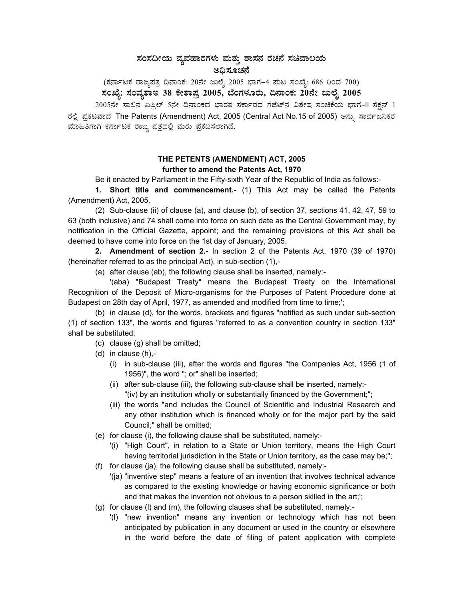## $\,$ ಸಂಸದೀಯ ವ್ಯವಹಾರಗಳು ಮತ್ತು ಶಾಸನ ರಚನೆ ಸಚಿವಾಲಯ ಅಧಿಸೂಚನೆ

(ಕರ್ನಾಟಕ ರಾಜ್ಯಪತ್ರ ದಿನಾಂಕ: 20ನೇ ಜುಲೈ 2005 ಭಾಗ–4 ಮಟ ಸಂಖ್ಯೆ: 686 ರಿಂದ 700) ಸಂಖ್ಯೆ: ಸಂವ್ಯಶಾಇ 38 ಕೇಶಾಪ್ರ 2005, ಬೆಂಗಳೂರು, ದಿನಾಂಕ: 20ನೇ ಜುಲೈ 2005 <sub>-</sub>

2005ನೇ ಸಾಲಿನ ಏಪ್ರಿಲ್ 5ನೇ ದಿನಾಂಕದ ಭಾರತ ಸರ್ಕಾರದ ಗೆಜೆಟ್ನ ವಿಶೇಷ ಸಂಚಿಕೆಯ ಭಾಗ-II ಸೆಕ್ಷನ್ 1 ರಲ್ಲಿ ಪ್ರಕಟವಾದ The Patents (Amendment) Act, 2005 (Central Act No.15 of 2005) ಅನ್ಸು ಸಾರ್ವಜನಿಕರ ಮಾಹಿತಿಗಾಗಿ ಕರ್ನಾಟಕ ರಾಜ್ಯ ಪತ್ರದಲ್ಲಿ ಮರು ಪ್ರಕಟಿಸಲಾಗಿದೆ.

## **THE PETENTS (AMENDMENT) ACT, 2005 further to amend the Patents Act, 1970**

Be it enacted by Parliament in the Fifty-sixth Year of the Republic of India as follows:-

**1. Short title and commencement.-** (1) This Act may be called the Patents (Amendment) Act, 2005.

(2) Sub-clause (ii) of clause (a), and clause (b), of section 37, sections 41, 42, 47, 59 to 63 (both inclusive) and 74 shall come into force on such date as the Central Government may, by notification in the Official Gazette, appoint; and the remaining provisions of this Act shall be deemed to have come into force on the 1st day of January, 2005.

**2. Amendment of section 2.-** In section 2 of the Patents Act, 1970 (39 of 1970) (hereinafter referred to as the principal Act), in sub-section (1),-

(a) after clause (ab), the following clause shall be inserted, namely:-

'(aba) "Budapest Treaty" means the Budapest Treaty on the International Recognition of the Deposit of Micro-organisms for the Purposes of Patent Procedure done at Budapest on 28th day of April, 1977, as amended and modified from time to time;';

(b) in clause (d), for the words, brackets and figures "notified as such under sub-section (1) of section 133", the words and figures "referred to as a convention country in section 133" shall be substituted;

- (c) clause (g) shall be omitted;
- (d) in clause (h),-
	- (i) in sub-clause (iii), after the words and figures "the Companies Act, 1956 (1 of 1956)", the word "; or" shall be inserted;
	- (ii) after sub-clause (iii), the following sub-clause shall be inserted, namely:- "(iv) by an institution wholly or substantially financed by the Government;";
	- (iii) the words "and includes the Council of Scientific and Industrial Research and any other institution which is financed wholly or for the major part by the said Council;" shall be omitted;
- (e) for clause (i), the following clause shall be substituted, namely:-
	- '(i) "High Court", in relation to a State or Union territory, means the High Court having territorial jurisdiction in the State or Union territory, as the case may be;";
- (f) for clause (ja), the following clause shall be substituted, namely:-
	- '(ja) "inventive step" means a feature of an invention that involves technical advance as compared to the existing knowledge or having economic significance or both and that makes the invention not obvious to a person skilled in the art;';
- (g) for clause (l) and (m), the following clauses shall be substituted, namely:-
	- '(l) "new invention" means any invention or technology which has not been anticipated by publication in any document or used in the country or elsewhere in the world before the date of filing of patent application with complete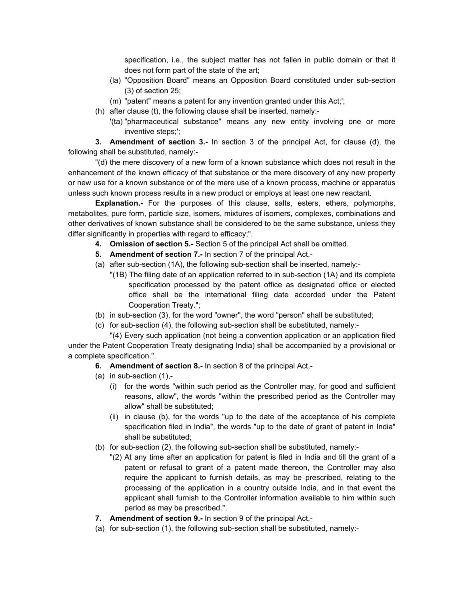specification, i.e., the subject matter has not fallen in public domain or that it does not form part of the state of the art;

- (la) "Opposition Board" means an Opposition Board constituted under sub-section (3) of section 25;
- (m) "patent" means a patent for any invention granted under this Act;';
- (h) after clause (t), the following clause shall be inserted, namely:-
	- '(ta) "pharmaceutical substance" means any new entity involving one or more inventive steps;';

**3. Amendment of section 3.-** In section 3 of the principal Act, for clause (d), the following shall be substituted, namely:-

"(d) the mere discovery of a new form of a known substance which does not result in the enhancement of the known efficacy of that substance or the mere discovery of any new property or new use for a known substance or of the mere use of a known process, machine or apparatus unless such known process results in a new product or employs at least one new reactant.

**Explanation.-** For the purposes of this clause, salts, esters, ethers, polymorphs, metabolites, pure form, particle size, isomers, mixtures of isomers, complexes, combinations and other derivatives of known substance shall be considered to be the same substance, unless they differ significantly in properties with regard to efficacy;".

- **4. Omission of section 5.-** Section 5 of the principal Act shall be omitted.
- **5. Amendment of section 7.-** In section 7 of the principal Act,-
- (a) after sub-section (1A), the following sub-section shall be inserted, namely:-
	- "(1B) The filing date of an application referred to in sub-section (1A) and its complete specification processed by the patent office as designated office or elected office shall be the international filing date accorded under the Patent Cooperation Treaty.";
- (b) in sub-section (3), for the word "owner", the word "person" shall be substituted;
- (c) for sub-section (4), the following sub-section shall be substituted, namely:-

"(4) Every such application (not being a convention application or an application filed under the Patent Cooperation Treaty designating India) shall be accompanied by a provisional or a complete specification.".

- **6. Amendment of section 8.-** In section 8 of the principal Act,-
- $(a)$  in sub-section  $(1)$ .
	- (i) for the words "within such period as the Controller may, for good and sufficient reasons, allow", the words "within the prescribed period as the Controller may allow" shall be substituted;
	- (ii) in clause (b), for the words "up to the date of the acceptance of his complete specification filed in India", the words "up to the date of grant of patent in India" shall be substituted;
- (b) for sub-section (2), the following sub-section shall be substituted, namely:-
	- "(2) At any time after an application for patent is filed in India and till the grant of a patent or refusal to grant of a patent made thereon, the Controller may also require the applicant to furnish details, as may be prescribed, relating to the processing of the application in a country outside India, and in that event the applicant shall furnish to the Controller information available to him within such period as may be prescribed.".
- **7. Amendment of section 9.-** In section 9 of the principal Act,-
- (a) for sub-section (1), the following sub-section shall be substituted, namely:-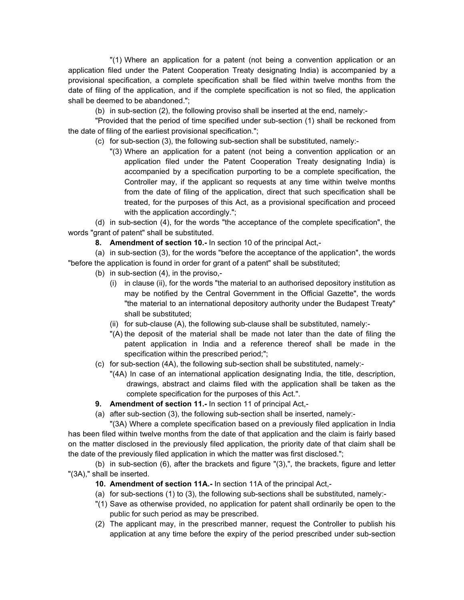"(1) Where an application for a patent (not being a convention application or an application filed under the Patent Cooperation Treaty designating India) is accompanied by a provisional specification, a complete specification shall be filed within twelve months from the date of filing of the application, and if the complete specification is not so filed, the application shall be deemed to be abandoned.";

(b) in sub-section (2), the following proviso shall be inserted at the end, namely:-

"Provided that the period of time specified under sub-section (1) shall be reckoned from the date of filing of the earliest provisional specification.";

- (c) for sub-section (3), the following sub-section shall be substituted, namely:-
	- "(3) Where an application for a patent (not being a convention application or an application filed under the Patent Cooperation Treaty designating India) is accompanied by a specification purporting to be a complete specification, the Controller may, if the applicant so requests at any time within twelve months from the date of filing of the application, direct that such specification shall be treated, for the purposes of this Act, as a provisional specification and proceed with the application accordingly.";

(d) in sub-section (4), for the words "the acceptance of the complete specification", the words "grant of patent" shall be substituted.

**8. Amendment of section 10.-** In section 10 of the principal Act,-

(a) in sub-section (3), for the words "before the acceptance of the application", the words "before the application is found in order for grant of a patent" shall be substituted;

- (b) in sub-section (4), in the proviso,-
	- (i) in clause (ii), for the words "the material to an authorised depository institution as may be notified by the Central Government in the Official Gazette", the words "the material to an international depository authority under the Budapest Treaty" shall be substituted;
	- (ii) for sub-clause (A), the following sub-clause shall be substituted, namely:-
	- "(A) the deposit of the material shall be made not later than the date of filing the patent application in India and a reference thereof shall be made in the specification within the prescribed period;";
- (c) for sub-section (4A), the following sub-section shall be substituted, namely:-
	- "(4A) In case of an international application designating India, the title, description, drawings, abstract and claims filed with the application shall be taken as the complete specification for the purposes of this Act.".
- **9. Amendment of section 11.-** In section 11 of principal Act,-
- (a) after sub-section (3), the following sub-section shall be inserted, namely:-

"(3A) Where a complete specification based on a previously filed application in India has been filed within twelve months from the date of that application and the claim is fairly based on the matter disclosed in the previously filed application, the priority date of that claim shall be the date of the previously filed application in which the matter was first disclosed.";

(b) in sub-section (6), after the brackets and figure "(3),", the brackets, figure and letter "(3A)," shall be inserted.

- **10. Amendment of section 11A.-** In section 11A of the principal Act,-
- (a) for sub-sections (1) to (3), the following sub-sections shall be substituted, namely:-
- "(1) Save as otherwise provided, no application for patent shall ordinarily be open to the public for such period as may be prescribed.
- (2) The applicant may, in the prescribed manner, request the Controller to publish his application at any time before the expiry of the period prescribed under sub-section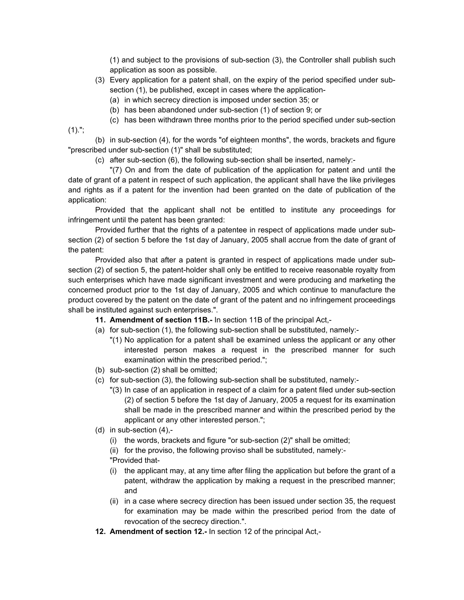(1) and subject to the provisions of sub-section (3), the Controller shall publish such application as soon as possible.

- (3) Every application for a patent shall, on the expiry of the period specified under subsection (1), be published, except in cases where the application-
	- (a) in which secrecy direction is imposed under section 35; or
	- (b) has been abandoned under sub-section (1) of section 9; or
	- (c) has been withdrawn three months prior to the period specified under sub-section

(b) in sub-section (4), for the words "of eighteen months", the words, brackets and figure "prescribed under sub-section (1)" shall be substituted;

(c) after sub-section (6), the following sub-section shall be inserted, namely:-

"(7) On and from the date of publication of the application for patent and until the date of grant of a patent in respect of such application, the applicant shall have the like privileges and rights as if a patent for the invention had been granted on the date of publication of the application:

Provided that the applicant shall not be entitled to institute any proceedings for infringement until the patent has been granted:

Provided further that the rights of a patentee in respect of applications made under subsection (2) of section 5 before the 1st day of January, 2005 shall accrue from the date of grant of the patent:

Provided also that after a patent is granted in respect of applications made under subsection (2) of section 5, the patent-holder shall only be entitled to receive reasonable royalty from such enterprises which have made significant investment and were producing and marketing the concerned product prior to the 1st day of January, 2005 and which continue to manufacture the product covered by the patent on the date of grant of the patent and no infringement proceedings shall be instituted against such enterprises.".

- **11. Amendment of section 11B.-** In section 11B of the principal Act,-
- (a) for sub-section (1), the following sub-section shall be substituted, namely:-
	- "(1) No application for a patent shall be examined unless the applicant or any other interested person makes a request in the prescribed manner for such examination within the prescribed period.";
- (b) sub-section (2) shall be omitted;
- (c) for sub-section (3), the following sub-section shall be substituted, namely:-
	- "(3) In case of an application in respect of a claim for a patent filed under sub-section (2) of section 5 before the 1st day of January, 2005 a request for its examination shall be made in the prescribed manner and within the prescribed period by the applicant or any other interested person.";
- (d) in sub-section (4),-

 $(1).$ ";

- (i) the words, brackets and figure "or sub-section (2)" shall be omitted;
- (ii) for the proviso, the following proviso shall be substituted, namely:- "Provided that-
- (i) the applicant may, at any time after filing the application but before the grant of a patent, withdraw the application by making a request in the prescribed manner; and
- (ii) in a case where secrecy direction has been issued under section 35, the request for examination may be made within the prescribed period from the date of revocation of the secrecy direction.".
- **12. Amendment of section 12.-** In section 12 of the principal Act,-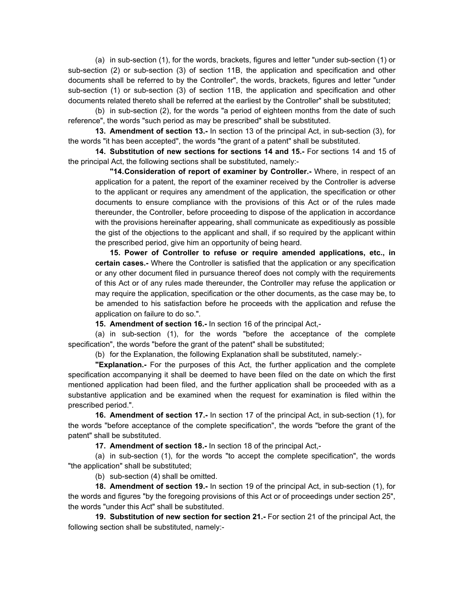(a) in sub-section (1), for the words, brackets, figures and letter "under sub-section (1) or sub-section (2) or sub-section (3) of section 11B, the application and specification and other documents shall be referred to by the Controller", the words, brackets, figures and letter "under sub-section (1) or sub-section (3) of section 11B, the application and specification and other documents related thereto shall be referred at the earliest by the Controller" shall be substituted;

(b) in sub-section (2), for the words "a period of eighteen months from the date of such reference", the words "such period as may be prescribed" shall be substituted.

**13. Amendment of section 13.-** In section 13 of the principal Act, in sub-section (3), for the words "it has been accepted", the words "the grant of a patent" shall be substituted.

**14. Substitution of new sections for sections 14 and 15.-** For sections 14 and 15 of the principal Act, the following sections shall be substituted, namely:-

 **"14. Consideration of report of examiner by Controller.-** Where, in respect of an application for a patent, the report of the examiner received by the Controller is adverse to the applicant or requires any amendment of the application, the specification or other documents to ensure compliance with the provisions of this Act or of the rules made thereunder, the Controller, before proceeding to dispose of the application in accordance with the provisions hereinafter appearing, shall communicate as expeditiously as possible the gist of the objections to the applicant and shall, if so required by the applicant within the prescribed period, give him an opportunity of being heard.

 **15. Power of Controller to refuse or require amended applications, etc., in certain cases.-** Where the Controller is satisfied that the application or any specification or any other document filed in pursuance thereof does not comply with the requirements of this Act or of any rules made thereunder, the Controller may refuse the application or may require the application, specification or the other documents, as the case may be, to be amended to his satisfaction before he proceeds with the application and refuse the application on failure to do so.".

**15. Amendment of section 16.-** In section 16 of the principal Act,-

(a) in sub-section (1), for the words "before the acceptance of the complete specification", the words "before the grant of the patent" shall be substituted;

(b) for the Explanation, the following Explanation shall be substituted, namely:-

**"Explanation.-** For the purposes of this Act, the further application and the complete specification accompanying it shall be deemed to have been filed on the date on which the first mentioned application had been filed, and the further application shall be proceeded with as a substantive application and be examined when the request for examination is filed within the prescribed period.".

**16. Amendment of section 17.-** In section 17 of the principal Act, in sub-section (1), for the words "before acceptance of the complete specification", the words "before the grant of the patent" shall be substituted.

**17. Amendment of section 18.-** In section 18 of the principal Act,-

(a) in sub-section (1), for the words "to accept the complete specification", the words "the application" shall be substituted;

(b) sub-section (4) shall be omitted.

**18. Amendment of section 19.-** In section 19 of the principal Act, in sub-section (1), for the words and figures "by the foregoing provisions of this Act or of proceedings under section 25", the words "under this Act" shall be substituted.

**19. Substitution of new section for section 21.-** For section 21 of the principal Act, the following section shall be substituted, namely:-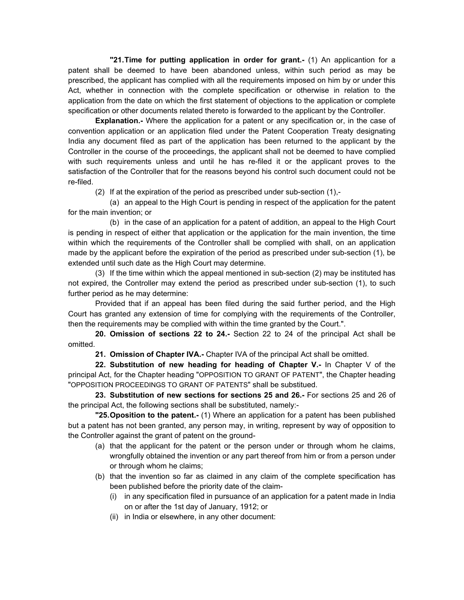**"21. Time for putting application in order for grant.-** (1) An applicantion for a patent shall be deemed to have been abandoned unless, within such period as may be prescribed, the applicant has complied with all the requirements imposed on him by or under this Act, whether in connection with the complete specification or otherwise in relation to the application from the date on which the first statement of objections to the application or complete specification or other documents related thereto is forwarded to the applicant by the Controller.

**Explanation.-** Where the application for a patent or any specification or, in the case of convention application or an application filed under the Patent Cooperation Treaty designating India any document filed as part of the application has been returned to the applicant by the Controller in the course of the proceedings, the applicant shall not be deemed to have complied with such requirements unless and until he has re-filed it or the applicant proves to the satisfaction of the Controller that for the reasons beyond his control such document could not be re-filed.

(2) If at the expiration of the period as prescribed under sub-section (1),-

(a) an appeal to the High Court is pending in respect of the application for the patent for the main invention; or

(b) in the case of an application for a patent of addition, an appeal to the High Court is pending in respect of either that application or the application for the main invention, the time within which the requirements of the Controller shall be complied with shall, on an application made by the applicant before the expiration of the period as prescribed under sub-section (1), be extended until such date as the High Court may determine.

(3) If the time within which the appeal mentioned in sub-section (2) may be instituted has not expired, the Controller may extend the period as prescribed under sub-section (1), to such further period as he may determine:

Provided that if an appeal has been filed during the said further period, and the High Court has granted any extension of time for complying with the requirements of the Controller, then the requirements may be complied with within the time granted by the Court.".

**20. Omission of sections 22 to 24.-** Section 22 to 24 of the principal Act shall be omitted.

**21. Omission of Chapter IVA.-** Chapter IVA of the principal Act shall be omitted.

**22. Substitution of new heading for heading of Chapter V.-** In Chapter V of the principal Act, for the Chapter heading "OPPOSITION TO GRANT OF PATENT", the Chapter heading "OPPOSITION PROCEEDINGS TO GRANT OF PATENTS" shall be substitued.

**23. Substitution of new sections for sections 25 and 26.-** For sections 25 and 26 of the principal Act, the following sections shall be substituted, namely:-

**"25. Oposition to the patent.-** (1) Where an application for a patent has been published but a patent has not been granted, any person may, in writing, represent by way of opposition to the Controller against the grant of patent on the ground-

- (a) that the applicant for the patent or the person under or through whom he claims, wrongfully obtained the invention or any part thereof from him or from a person under or through whom he claims;
- (b) that the invention so far as claimed in any claim of the complete specification has been published before the priority date of the claim-
	- (i) in any specification filed in pursuance of an application for a patent made in India on or after the 1st day of January, 1912; or
	- (ii) in India or elsewhere, in any other document: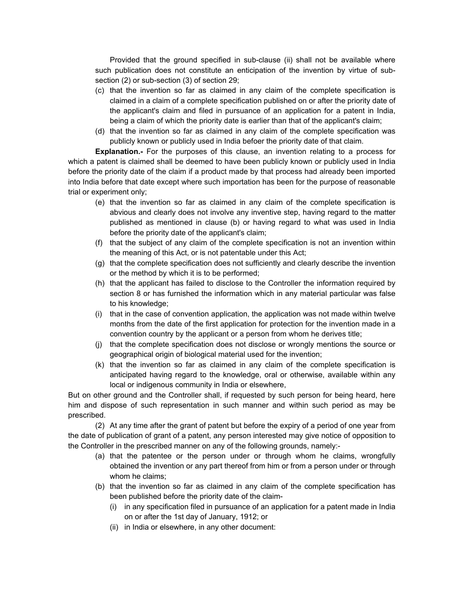Provided that the ground specified in sub-clause (ii) shall not be available where such publication does not constitute an enticipation of the invention by virtue of subsection (2) or sub-section (3) of section 29;

- (c) that the invention so far as claimed in any claim of the complete specification is claimed in a claim of a complete specification published on or after the priority date of the applicant's claim and filed in pursuance of an application for a patent in India, being a claim of which the priority date is earlier than that of the applicant's claim;
- (d) that the invention so far as claimed in any claim of the complete specification was publicly known or publicly used in India befoer the priority date of that claim.

**Explanation.-** For the purposes of this clause, an invention relating to a process for which a patent is claimed shall be deemed to have been publicly known or publicly used in India before the priority date of the claim if a product made by that process had already been imported into India before that date except where such importation has been for the purpose of reasonable trial or experiment only;

- (e) that the invention so far as claimed in any claim of the complete specification is abvious and clearly does not involve any inventive step, having regard to the matter published as mentioned in clause (b) or having regard to what was used in India before the priority date of the applicant's claim;
- (f) that the subject of any claim of the complete specification is not an invention within the meaning of this Act, or is not patentable under this Act;
- (g) that the complete specification does not sufficiently and clearly describe the invention or the method by which it is to be performed;
- (h) that the applicant has failed to disclose to the Controller the information required by section 8 or has furnished the information which in any material particular was false to his knowledge;
- (i) that in the case of convention application, the application was not made within twelve months from the date of the first application for protection for the invention made in a convention country by the applicant or a person from whom he derives title;
- (j) that the complete specification does not disclose or wrongly mentions the source or geographical origin of biological material used for the invention;
- (k) that the invention so far as claimed in any claim of the complete specification is anticipated having regard to the knowledge, oral or otherwise, available within any local or indigenous community in India or elsewhere,

But on other ground and the Controller shall, if requested by such person for being heard, here him and dispose of such representation in such manner and within such period as may be prescribed.

(2) At any time after the grant of patent but before the expiry of a period of one year from the date of publication of grant of a patent, any person interested may give notice of opposition to the Controller in the prescribed manner on any of the following grounds, namely:-

- (a) that the patentee or the person under or through whom he claims, wrongfully obtained the invention or any part thereof from him or from a person under or through whom he claims;
- (b) that the invention so far as claimed in any claim of the complete specification has been published before the priority date of the claim-
	- (i) in any specification filed in pursuance of an application for a patent made in India on or after the 1st day of January, 1912; or
	- (ii) in India or elsewhere, in any other document: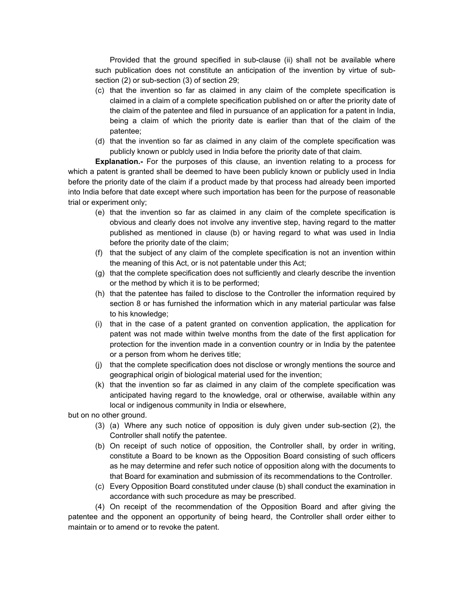Provided that the ground specified in sub-clause (ii) shall not be available where such publication does not constitute an anticipation of the invention by virtue of subsection (2) or sub-section (3) of section 29;

- (c) that the invention so far as claimed in any claim of the complete specification is claimed in a claim of a complete specification published on or after the priority date of the claim of the patentee and filed in pursuance of an application for a patent in India, being a claim of which the priority date is earlier than that of the claim of the patentee;
- (d) that the invention so far as claimed in any claim of the complete specification was publicly known or publcly used in India before the priority date of that claim.

**Explanation.-** For the purposes of this clause, an invention relating to a process for which a patent is granted shall be deemed to have been publicly known or publicly used in India before the priority date of the claim if a product made by that process had already been imported into India before that date except where such importation has been for the purpose of reasonable trial or experiment only;

- (e) that the invention so far as claimed in any claim of the complete specification is obvious and clearly does not involve any inventive step, having regard to the matter published as mentioned in clause (b) or having regard to what was used in India before the priority date of the claim;
- (f) that the subject of any claim of the complete specification is not an invention within the meaning of this Act, or is not patentable under this Act;
- (g) that the complete specification does not sufficiently and clearly describe the invention or the method by which it is to be performed;
- (h) that the patentee has failed to disclose to the Controller the information required by section 8 or has furnished the information which in any material particular was false to his knowledge;
- (i) that in the case of a patent granted on convention application, the application for patent was not made within twelve months from the date of the first application for protection for the invention made in a convention country or in India by the patentee or a person from whom he derives title;
- (j) that the complete specification does not disclose or wrongly mentions the source and geographical origin of biological material used for the invention;
- (k) that the invention so far as claimed in any claim of the complete specification was anticipated having regard to the knowledge, oral or otherwise, available within any local or indigenous community in India or elsewhere,

but on no other ground.

- (3) (a) Where any such notice of opposition is duly given under sub-section (2), the Controller shall notify the patentee.
- (b) On receipt of such notice of opposition, the Controller shall, by order in writing, constitute a Board to be known as the Opposition Board consisting of such officers as he may determine and refer such notice of opposition along with the documents to that Board for examination and submission of its recommendations to the Controller.
- (c) Every Opposition Board constituted under clause (b) shall conduct the examination in accordance with such procedure as may be prescribed.

(4) On receipt of the recommendation of the Opposition Board and after giving the patentee and the opponent an opportunity of being heard, the Controller shall order either to maintain or to amend or to revoke the patent.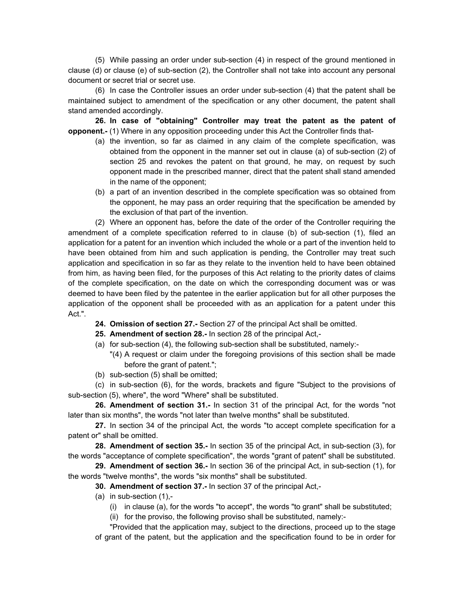(5) While passing an order under sub-section (4) in respect of the ground mentioned in clause (d) or clause (e) of sub-section (2), the Controller shall not take into account any personal document or secret trial or secret use.

(6) In case the Controller issues an order under sub-section (4) that the patent shall be maintained subject to amendment of the specification or any other document, the patent shall stand amended accordingly.

**26. In case of "obtaining" Controller may treat the patent as the patent of opponent.-** (1) Where in any opposition proceeding under this Act the Controller finds that-

- (a) the invention, so far as claimed in any claim of the complete specification, was obtained from the opponent in the manner set out in clause (a) of sub-section (2) of section 25 and revokes the patent on that ground, he may, on request by such opponent made in the prescribed manner, direct that the patent shall stand amended in the name of the opponent;
- (b) a part of an invention described in the complete specification was so obtained from the opponent, he may pass an order requiring that the specification be amended by the exclusion of that part of the invention.

(2) Where an opponent has, before the date of the order of the Controller requiring the amendment of a complete specification referred to in clause (b) of sub-section (1), filed an application for a patent for an invention which included the whole or a part of the invention held to have been obtained from him and such application is pending, the Controller may treat such application and specification in so far as they relate to the invention held to have been obtained from him, as having been filed, for the purposes of this Act relating to the priority dates of claims of the complete specification, on the date on which the corresponding document was or was deemed to have been filed by the patentee in the earlier application but for all other purposes the application of the opponent shall be proceeded with as an application for a patent under this Act.".

- **24. Omission of section 27.-** Section 27 of the principal Act shall be omitted.
- **25. Amendment of section 28.-** In section 28 of the principal Act,-
- (a) for sub-section (4), the following sub-section shall be substituted, namely:-
	- "(4) A request or claim under the foregoing provisions of this section shall be made before the grant of patent.";
- (b) sub-section (5) shall be omitted;

(c) in sub-section (6), for the words, brackets and figure "Subject to the provisions of sub-section (5), where", the word "Where" shall be substituted.

**26. Amendment of section 31.-** In section 31 of the principal Act, for the words "not later than six months", the words "not later than twelve months" shall be substituted.

**27.** In section 34 of the principal Act, the words "to accept complete specification for a patent or" shall be omitted.

**28. Amendment of section 35.-** In section 35 of the principal Act, in sub-section (3), for the words "acceptance of complete specification", the words "grant of patent" shall be substituted.

**29. Amendment of section 36.-** In section 36 of the principal Act, in sub-section (1), for the words "twelve months", the words "six months" shall be substituted.

- **30. Amendment of section 37.-** In section 37 of the principal Act,-
- (a) in sub-section  $(1)$ ,-
	- (i) in clause (a), for the words "to accept", the words "to grant" shall be substituted;
	- (ii) for the proviso, the following proviso shall be substituted, namely:-

"Provided that the application may, subject to the directions, proceed up to the stage of grant of the patent, but the application and the specification found to be in order for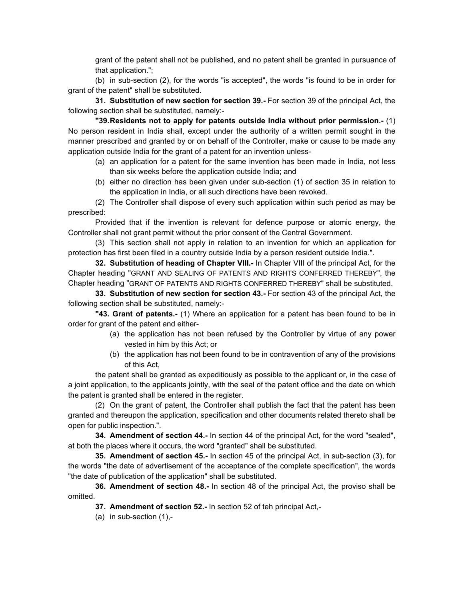grant of the patent shall not be published, and no patent shall be granted in pursuance of that application.";

(b) in sub-section (2), for the words "is accepted", the words "is found to be in order for grant of the patent" shall be substituted.

**31. Substitution of new section for section 39.-** For section 39 of the principal Act, the following section shall be substituted, namely:-

**"39. Residents not to apply for patents outside India without prior permission.-** (1) No person resident in India shall, except under the authority of a written permit sought in the manner prescribed and granted by or on behalf of the Controller, make or cause to be made any application outside India for the grant of a patent for an invention unless-

- (a) an application for a patent for the same invention has been made in India, not less than six weeks before the application outside India; and
- (b) either no direction has been given under sub-section (1) of section 35 in relation to the application in India, or all such directions have been revoked.

(2) The Controller shall dispose of every such application within such period as may be prescribed:

Provided that if the invention is relevant for defence purpose or atomic energy, the Controller shall not grant permit without the prior consent of the Central Government.

(3) This section shall not apply in relation to an invention for which an application for protection has first been filed in a country outside India by a person resident outside India.".

**32. Substitution of heading of Chapter VIII.-** In Chapter VIII of the principal Act, for the Chapter heading "GRANT AND SEALING OF PATENTS AND RIGHTS CONFERRED THEREBY", the Chapter heading "GRANT OF PATENTS AND RIGHTS CONFERRED THEREBY" shall be substituted.

**33. Substitution of new section for section 43.-** For section 43 of the principal Act, the following section shall be substituted, namely:-

**"43. Grant of patents.-** (1) Where an application for a patent has been found to be in order for grant of the patent and either-

- (a) the application has not been refused by the Controller by virtue of any power vested in him by this Act; or
- (b) the application has not been found to be in contravention of any of the provisions of this Act,

the patent shall be granted as expeditiously as possible to the applicant or, in the case of a joint application, to the applicants jointly, with the seal of the patent office and the date on which the patent is granted shall be entered in the register.

(2) On the grant of patent, the Controller shall publish the fact that the patent has been granted and thereupon the application, specification and other documents related thereto shall be open for public inspection.".

**34. Amendment of section 44.-** In section 44 of the principal Act, for the word "sealed", at both the places where it occurs, the word "granted" shall be substituted.

**35. Amendment of section 45.-** In section 45 of the principal Act, in sub-section (3), for the words "the date of advertisement of the acceptance of the complete specification", the words "the date of publication of the application" shall be substituted.

**36. Amendment of section 48.-** In section 48 of the principal Act, the proviso shall be omitted.

**37. Amendment of section 52.-** In section 52 of teh principal Act,-

(a) in sub-section (1),-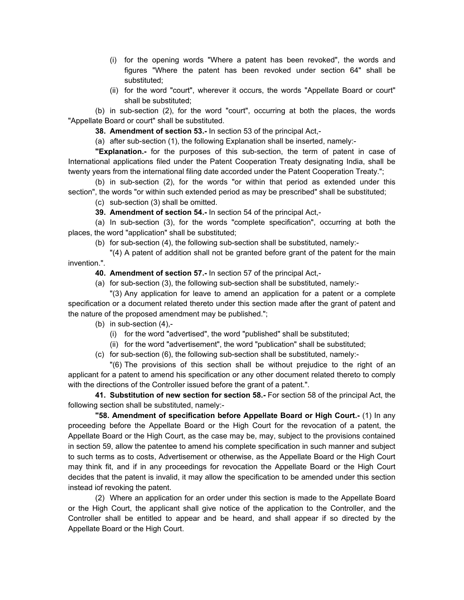- (i) for the opening words "Where a patent has been revoked", the words and figures "Where the patent has been revoked under section 64" shall be substituted;
- (ii) for the word "court", wherever it occurs, the words "Appellate Board or court" shall be substituted;

(b) in sub-section (2), for the word "court", occurring at both the places, the words "Appellate Board or court" shall be substituted.

**38. Amendment of section 53.-** In section 53 of the principal Act,-

(a) after sub-section (1), the following Explanation shall be inserted, namely:-

**"Explanation.-** for the purposes of this sub-section, the term of patent in case of International applications filed under the Patent Cooperation Treaty designating India, shall be twenty years from the international filing date accorded under the Patent Cooperation Treaty.";

(b) in sub-section (2), for the words "or within that period as extended under this section", the words "or within such extended period as may be prescribed" shall be substituted;

(c) sub-section (3) shall be omitted.

**39. Amendment of section 54.-** In section 54 of the principal Act,-

(a) In sub-section (3), for the words "complete specification", occurring at both the places, the word "application" shall be substituted;

(b) for sub-section (4), the following sub-section shall be substituted, namely:-

"(4) A patent of addition shall not be granted before grant of the patent for the main invention.".

**40. Amendment of section 57.-** In section 57 of the principal Act,-

(a) for sub-section (3), the following sub-section shall be substituted, namely:-

"(3) Any application for leave to amend an application for a patent or a complete specification or a document related thereto under this section made after the grant of patent and the nature of the proposed amendment may be published.";

(b) in sub-section (4),-

- (i) for the word "advertised", the word "published" shall be substituted;
- (ii) for the word "advertisement", the word "publication" shall be substituted;

(c) for sub-section (6), the following sub-section shall be substituted, namely:-

"(6) The provisions of this section shall be without prejudice to the right of an applicant for a patent to amend his specification or any other document related thereto to comply with the directions of the Controller issued before the grant of a patent.".

**41. Substitution of new section for section 58.-** For section 58 of the principal Act, the following section shall be substituted, namely:-

**"58. Amendment of specification before Appellate Board or High Court.-** (1) In any proceeding before the Appellate Board or the High Court for the revocation of a patent, the Appellate Board or the High Court, as the case may be, may, subject to the provisions contained in section 59, allow the patentee to amend his complete specification in such manner and subject to such terms as to costs, Advertisement or otherwise, as the Appellate Board or the High Court may think fit, and if in any proceedings for revocation the Appellate Board or the High Court decides that the patent is invalid, it may allow the specification to be amended under this section instead iof revoking the patent.

(2) Where an application for an order under this section is made to the Appellate Board or the High Court, the applicant shall give notice of the application to the Controller, and the Controller shall be entitled to appear and be heard, and shall appear if so directed by the Appellate Board or the High Court.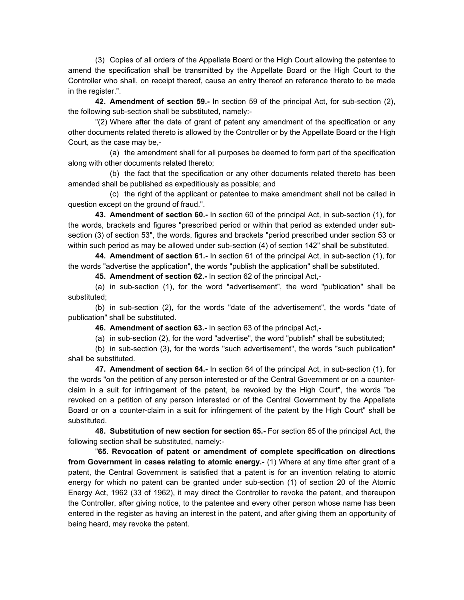(3) Copies of all orders of the Appellate Board or the High Court allowing the patentee to amend the specification shall be transmitted by the Appellate Board or the High Court to the Controller who shall, on receipt thereof, cause an entry thereof an reference thereto to be made in the register.".

**42. Amendment of section 59.-** In section 59 of the principal Act, for sub-section (2), the following sub-section shall be substituted, namely:-

"(2) Where after the date of grant of patent any amendment of the specification or any other documents related thereto is allowed by the Controller or by the Appellate Board or the High Court, as the case may be,-

(a) the amendment shall for all purposes be deemed to form part of the specification along with other documents related thereto;

(b) the fact that the specification or any other documents related thereto has been amended shall be published as expeditiously as possible; and

(c) the right of the applicant or patentee to make amendment shall not be called in question except on the ground of fraud.".

**43. Amendment of section 60.-** In section 60 of the principal Act, in sub-section (1), for the words, brackets and figures "prescribed period or within that period as extended under subsection (3) of section 53", the words, figures and brackets "period prescribed under section 53 or within such period as may be allowed under sub-section (4) of section 142" shall be substituted.

**44. Amendment of section 61.-** In section 61 of the principal Act, in sub-section (1), for the words "advertise the application", the words "publish the application" shall be substituted.

**45. Amendment of section 62.-** In section 62 of the principal Act,-

(a) in sub-section (1), for the word "advertisement", the word "publication" shall be substituted;

(b) in sub-section (2), for the words "date of the advertisement", the words "date of publication" shall be substituted.

**46. Amendment of section 63.-** In section 63 of the principal Act,-

(a) in sub-section (2), for the word "advertise", the word "publish" shall be substituted;

(b) in sub-section (3), for the words "such advertisement", the words "such publication" shall be substituted.

**47. Amendment of section 64.-** In section 64 of the principal Act, in sub-section (1), for the words "on the petition of any person interested or of the Central Government or on a counterclaim in a suit for infringement of the patent, be revoked by the High Court", the words "be revoked on a petition of any person interested or of the Central Government by the Appellate Board or on a counter-claim in a suit for infringement of the patent by the High Court" shall be substituted.

**48. Substitution of new section for section 65.-** For section 65 of the principal Act, the following section shall be substituted, namely:-

 "**65. Revocation of patent or amendment of complete specification on directions from Government in cases relating to atomic energy.-** (1) Where at any time after grant of a patent, the Central Government is satisfied that a patent is for an invention relating to atomic energy for which no patent can be granted under sub-section (1) of section 20 of the Atomic Energy Act, 1962 (33 of 1962), it may direct the Controller to revoke the patent, and thereupon the Controller, after giving notice, to the patentee and every other person whose name has been entered in the register as having an interest in the patent, and after giving them an opportunity of being heard, may revoke the patent.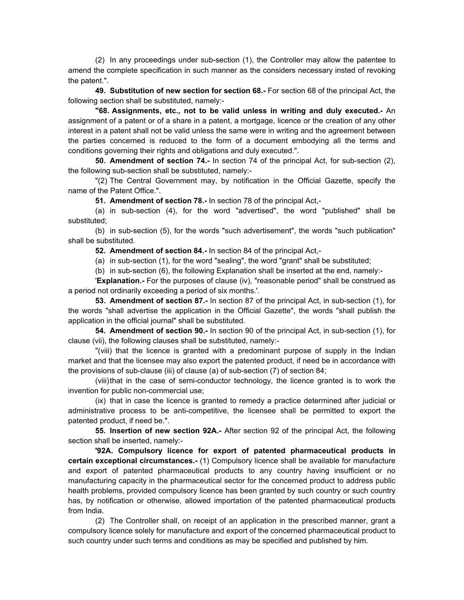(2) In any proceedings under sub-section (1), the Controller may allow the patentee to amend the complete specification in such manner as the considers necessary insted of revoking the patent.".

**49. Substitution of new section for section 68.-** For section 68 of the principal Act, the following section shall be substituted, namely:-

**"68. Assignments, etc., not to be valid unless in writing and duly executed.-** An assignment of a patent or of a share in a patent, a mortgage, licence or the creation of any other interest in a patent shall not be valid unless the same were in writing and the agreement between the parties concerned is reduced to the form of a document embodying all the terms and conditions governing their rights and obligations and duly executed.".

**50. Amendment of section 74.-** In section 74 of the principal Act, for sub-section (2), the following sub-section shall be substituted, namely:-

"(2) The Central Government may, by notification in the Official Gazette, specify the name of the Patent Office.".

**51. Amendment of section 78.-** In section 78 of the principal Act,-

(a) in sub-section (4), for the word "advertised", the word "published" shall be substituted;

(b) in sub-section (5), for the words "such advertisement", the words "such publication" shall be substituted.

**52. Amendment of section 84.-** In section 84 of the principal Act,-

(a) in sub-section (1), for the word "sealing", the word "grant" shall be substituted;

(b) in sub-section (6), the following Explanation shall be inserted at the end, namely:-

 '**Explanation.-** For the purposes of clause (iv), "reasonable period" shall be construed as a period not ordinarily exceeding a period of six months.'.

**53. Amendment of section 87.-** In section 87 of the principal Act, in sub-section (1), for the words "shall advertise the application in the Official Gazette", the words "shall publish the application in the official journal" shall be substituted.

**54. Amendment of section 90.-** In section 90 of the principal Act, in sub-section (1), for clause (vii), the following clauses shall be substituted, namely:-

"(viii) that the licence is granted with a predominant purpose of supply in the Indian market and that the licensee may also export the patented product, if need be in accordance with the provisions of sub-clause (iii) of clause (a) of sub-section (7) of section 84;

(viii) that in the case of semi-conductor technology, the licence granted is to work the invention for public non-commercial use;

(ix) that in case the licence is granted to remedy a practice determined after judicial or administrative process to be anti-competitive, the licensee shall be permitted to export the patented product, if need be.".

**55. Insertion of new section 92A.-** After section 92 of the principal Act, the following section shall be inserted, namely:-

**'92A. Compulsory licence for export of patented pharmaceutical products in certain exceptional circumstances.-** (1) Compulsory licence shall be available for manufacture and export of patented pharmaceutical products to any country having insufficient or no manufacturing capacity in the pharmaceutical sector for the concerned product to address public health problems, provided compulsory licence has been granted by such country or such country has, by notification or otherwise, allowed importation of the patented pharmaceutical products from India.

(2) The Controller shall, on receipt of an application in the prescribed manner, grant a compulsory licence solely for manufacture and export of the concerned pharmaceutical product to such country under such terms and conditions as may be specified and published by him.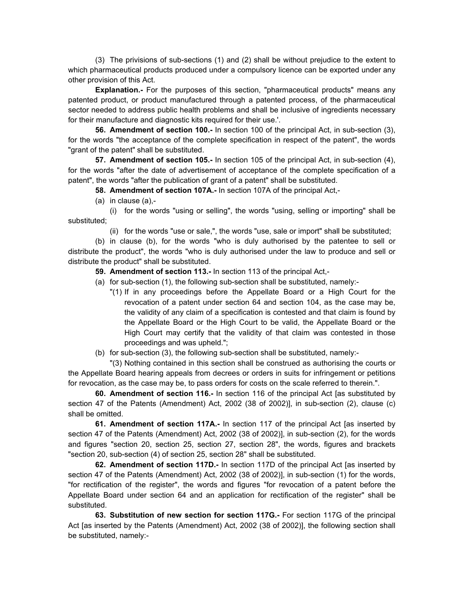(3) The privisions of sub-sections (1) and (2) shall be without prejudice to the extent to which pharmaceutical products produced under a compulsory licence can be exported under any other provision of this Act.

**Explanation.-** For the purposes of this section, "pharmaceutical products" means any patented product, or product manufactured through a patented process, of the pharmaceutical sector needed to address public health problems and shall be inclusive of ingredients necessary for their manufacture and diagnostic kits required for their use.'.

**56. Amendment of section 100.-** In section 100 of the principal Act, in sub-section (3), for the words "the acceptance of the complete specification in respect of the patent", the words "grant of the patent" shall be substituted.

**57. Amendment of section 105.-** In section 105 of the principal Act, in sub-section (4), for the words "after the date of advertisement of acceptance of the complete specification of a patent", the words "after the publication of grant of a patent" shall be substituted.

**58. Amendment of section 107A.-** In section 107A of the principal Act,-

(a) in clause  $(a)$ ,-

(i) for the words "using or selling", the words "using, selling or importing" shall be substituted;

(ii) for the words "use or sale,", the words "use, sale or import" shall be substituted;

(b) in clause (b), for the words "who is duly authorised by the patentee to sell or distribute the product", the words "who is duly authorised under the law to produce and sell or distribute the product" shall be substituted.

- **59. Amendment of section 113.-** In section 113 of the principal Act,-
- (a) for sub-section (1), the following sub-section shall be substituted, namely:-
	- "(1) If in any proceedings before the Appellate Board or a High Court for the revocation of a patent under section 64 and section 104, as the case may be, the validity of any claim of a specification is contested and that claim is found by the Appellate Board or the High Court to be valid, the Appellate Board or the High Court may certify that the validity of that claim was contested in those proceedings and was upheld.";
- (b) for sub-section (3), the following sub-section shall be substituted, namely:-

"(3) Nothing contained in this section shall be construed as authorising the courts or the Appellate Board hearing appeals from decrees or orders in suits for infringement or petitions for revocation, as the case may be, to pass orders for costs on the scale referred to therein.".

**60. Amendment of section 116.-** In section 116 of the principal Act [as substituted by section 47 of the Patents (Amendment) Act, 2002 (38 of 2002)], in sub-section (2), clause (c) shall be omitted.

**61. Amendment of section 117A.-** In section 117 of the principal Act [as inserted by section 47 of the Patents (Amendment) Act, 2002 (38 of 2002)], in sub-section (2), for the words and figures "section 20, section 25, section 27, section 28", the words, figures and brackets "section 20, sub-section (4) of section 25, section 28" shall be substituted.

**62. Amendment of section 117D.-** In section 117D of the principal Act [as inserted by section 47 of the Patents (Amendment) Act, 2002 (38 of 2002)], in sub-section (1) for the words, "for rectification of the register", the words and figures "for revocation of a patent before the Appellate Board under section 64 and an application for rectification of the register" shall be substituted.

**63. Substitution of new section for section 117G.-** For section 117G of the principal Act [as inserted by the Patents (Amendment) Act, 2002 (38 of 2002)], the following section shall be substituted, namely:-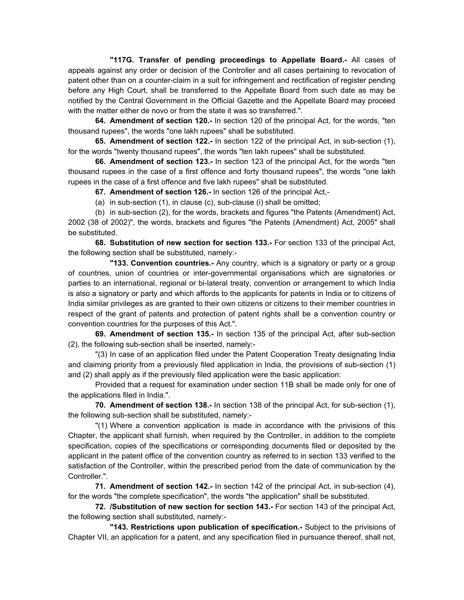**"117G. Transfer of pending proceedings to Appellate Board.-** All cases of appeals against any order or decision of the Controller and all cases pertaining to revocation of patent other than on a counter-claim in a suit for infringement and rectification of register pending before any High Court, shall be transferred to the Appellate Board from such date as may be notified by the Central Government in the Official Gazette and the Appellate Board may proceed with the matter either de novo or from the state it was so transferred.".

**64. Amendment of section 120.-** In section 120 of the principal Act, for the words, "ten thousand rupees", the words "one lakh rupees" shall be substituted.

**65. Amendment of section 122.-** In section 122 of the principal Act, in sub-section (1), for the words "twenty thousand rupees", the words "ten lakh rupees" shall be substituted.

**66. Amendment of section 123.-** In section 123 of the principal Act, for the words "ten thousand rupees in the case of a first offence and forty thousand rupees", the words "one lakh rupees in the case of a first offence and five lakh rupees" shall be substituted.

**67. Amendment of section 126.-** In section 126 of the principal Act,-

(a) in sub-section (1), in clause (c), sub-clause (i) shall be omitted;

(b) in sub-section (2), for the words, brackets and figures "the Patents (Amendment) Act, 2002 (38 of 2002)", the words, brackets and figures "the Patents (Amendment) Act, 2005" shall be substituted.

**68. Substitution of new section for section 133.-** For section 133 of the principal Act, the following section shall be substituted, namely:-

 **"133. Convention countries.-** Any country, which is a signatory or party or a group of countries, union of countries or inter-governmental organisations which are signatories or parties to an international, regional or bi-lateral treaty, convention or arrangement to which India is also a signatory or party and which affords to the applicants for patents in India or to citizens of India similar privileges as are granted to their own citizens or citizens to their member countries in respect of the grant of patents and protection of patent rights shall be a convention country or convention countries for the purposes of this Act.".

**69. Amendment of section 135.-** In section 135 of the principal Act, after sub-section (2), the following sub-section shall be inserted, namely:-

"(3) In case of an application filed under the Patent Cooperation Treaty designating India and claiming priority from a previously filed application in India, the provisions of sub-section (1) and (2) shall apply as if the previously filed application were the basic application:

Provided that a request for examination under section 11B shall be made only for one of the applications filed in India.".

**70. Amendment of section 138.-** In section 138 of the principal Act, for sub-section (1), the following sub-section shall be substituted, namely:-

"(1) Where a convention application is made in accordance with the privisions of this Chapter, the applicant shall furnish, when required by the Controller, in addition to the complete specification, copies of the specifications or corresponding documents filed or deposited by the applicant in the patent office of the convention country as referred to in section 133 verified to the satisfaction of the Controller, within the prescribed period from the date of communication by the Controller.".

**71. Amendment of section 142.-** In section 142 of the principal Act, in sub-section (4), for the words "the complete specification", the words "the application" shall be substituted.

**72. /Substitution of new section for section 143.-** For section 143 of the principal Act, the following section shall substituted, namely:-

 **"143. Restrictions upon publication of specification.-** Subject to the privisions of Chapter VII, an application for a patent, and any specification filed in pursuance thereof, shall not,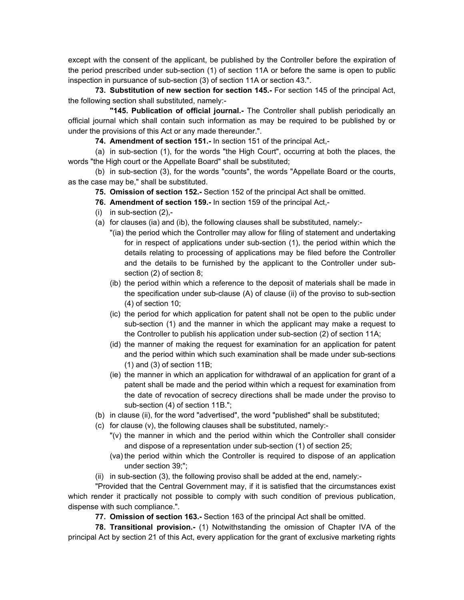except with the consent of the applicant, be published by the Controller before the expiration of the period prescribed under sub-section (1) of section 11A or before the same is open to public inspection in pursuance of sub-section (3) of section 11A or section 43.".

**73. Substitution of new section for section 145.-** For section 145 of the principal Act, the following section shall substituted, namely:-

 **"145. Publication of official journal.-** The Controller shall publish periodically an official journal which shall contain such information as may be required to be published by or under the provisions of this Act or any made thereunder.".

**74. Amendment of section 151.-** In section 151 of the principal Act,-

(a) in sub-section (1), for the words "the High Court", occurring at both the places, the words "the High court or the Appellate Board" shall be substituted;

(b) in sub-section (3), for the words "counts", the words "Appellate Board or the courts, as the case may be," shall be substituted.

**75. Omission of section 152.-** Section 152 of the principal Act shall be omitted.

- **76. Amendment of section 159.-** In section 159 of the principal Act,-
- (i) in sub-section (2),-
- (a) for clauses (ia) and (ib), the following clauses shall be substituted, namely:-
	- "(ia) the period which the Controller may allow for filing of statement and undertaking for in respect of applications under sub-section (1), the period within which the details relating to processing of applications may be filed before the Controller and the details to be furnished by the applicant to the Controller under subsection (2) of section 8;
	- (ib) the period within which a reference to the deposit of materials shall be made in the specification under sub-clause (A) of clause (ii) of the proviso to sub-section (4) of section 10;
	- (ic) the period for which application for patent shall not be open to the public under sub-section (1) and the manner in which the applicant may make a request to the Controller to publish his application under sub-section (2) of section 11A;
	- (id) the manner of making the request for examination for an application for patent and the period within which such examination shall be made under sub-sections (1) and (3) of section 11B;
	- (ie) the manner in which an application for withdrawal of an application for grant of a patent shall be made and the period within which a request for examination from the date of revocation of secrecy directions shall be made under the proviso to sub-section (4) of section 11B.";
- (b) in clause (ii), for the word "advertised", the word "published" shall be substituted;
- (c) for clause (v), the following clauses shall be substituted, namely:-
	- "(v) the manner in which and the period within which the Controller shall consider and dispose of a representation under sub-section (1) of section 25;
	- (va) the period within which the Controller is required to dispose of an application under section 39;";
- (ii) in sub-section (3), the following proviso shall be added at the end, namely:-

"Provided that the Central Government may, if it is satisfied that the circumstances exist which render it practically not possible to comply with such condition of previous publication, dispense with such compliance.".

**77. Omission of section 163.-** Section 163 of the principal Act shall be omitted.

**78. Transitional provision.-** (1) Notwithstanding the omission of Chapter IVA of the principal Act by section 21 of this Act, every application for the grant of exclusive marketing rights